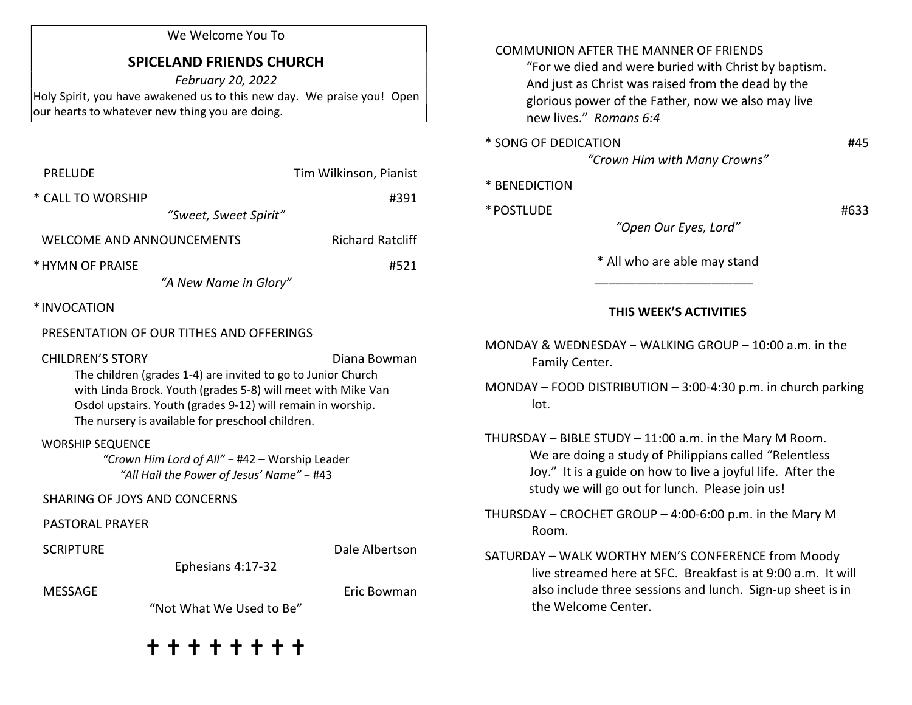#### We Welcome You To

# SPICELAND FRIENDS CHURCH

February 20, 2022 Holy Spirit, you have awakened us to this new day. We praise you! Open our hearts to whatever new thing you are doing.

| PRELUDE                   | Tim Wilkinson, Pianist  |  |
|---------------------------|-------------------------|--|
| * CALL TO WORSHIP         | #391                    |  |
| "Sweet, Sweet Spirit"     |                         |  |
| WELCOME AND ANNOUNCEMENTS | <b>Richard Ratcliff</b> |  |
| * HYMN OF PRAISE          | #521                    |  |
| "A New Name in Glory"     |                         |  |
| *INVOCATION               |                         |  |

## PRESENTATION OF OUR TITHES AND OFFERINGS

CHILDREN'S STORY **Diana Bowman** 

 The children (grades 1-4) are invited to go to Junior Church with Linda Brock. Youth (grades 5-8) will meet with Mike Van Osdol upstairs. Youth (grades 9-12) will remain in worship. The nursery is available for preschool children.

WORSHIP SEQUENCE

"Crown Him Lord of All" − #42 – Worship Leader "All Hail the Power of Jesus' Name" − #43

# SHARING OF JOYS AND CONCERNS

#### PASTORAL PRAYER

SCRIPTURE **Data Controller SCRIPTURE Data Controller SCRIPTURE** 

Ephesians 4:17-32

MESSAGE External property of the settlement of the settlement of the settlement of the settlement of the settlement of the settlement of the settlement of the settlement of the settlement of the settlement of the settlemen

"Not What We Used to Be"

ⴕ ⴕ ⴕ ⴕ ⴕ ⴕ ⴕ ⴕ

#### COMMUNION AFTER THE MANNER OF FRIENDS

 "For we died and were buried with Christ by baptism. And just as Christ was raised from the dead by the glorious power of the Father, now we also may live new lives." Romans 6:4

\* SONG OF DEDICATION #45

 $\frac{1}{\sqrt{2}}$  ,  $\frac{1}{\sqrt{2}}$  ,  $\frac{1}{\sqrt{2}}$  ,  $\frac{1}{\sqrt{2}}$  ,  $\frac{1}{\sqrt{2}}$  ,  $\frac{1}{\sqrt{2}}$  ,  $\frac{1}{\sqrt{2}}$  ,  $\frac{1}{\sqrt{2}}$  ,  $\frac{1}{\sqrt{2}}$  ,  $\frac{1}{\sqrt{2}}$  ,  $\frac{1}{\sqrt{2}}$  ,  $\frac{1}{\sqrt{2}}$  ,  $\frac{1}{\sqrt{2}}$  ,  $\frac{1}{\sqrt{2}}$  ,  $\frac{1}{\sqrt{2}}$ 

"Crown Him with Many Crowns"

|  | * BENEDICTION |  |
|--|---------------|--|
|--|---------------|--|

 $*$  POSTLUDE  $#633$ 

"Open Our Eyes, Lord"

\* All who are able may stand

### THIS WEEK'S ACTIVITIES

MONDAY & WEDNESDAY − WALKING GROUP – 10:00 a.m. in the Family Center.

MONDAY – FOOD DISTRIBUTION – 3:00-4:30 p.m. in church parking lot.

THURSDAY – BIBLE STUDY – 11:00 a.m. in the Mary M Room. We are doing a study of Philippians called "Relentless Joy." It is a guide on how to live a joyful life. After the study we will go out for lunch. Please join us!

THURSDAY – CROCHET GROUP – 4:00-6:00 p.m. in the Mary M Room.

SATURDAY – WALK WORTHY MEN'S CONFERENCE from Moody live streamed here at SFC. Breakfast is at 9:00 a.m. It will also include three sessions and lunch. Sign-up sheet is in the Welcome Center.